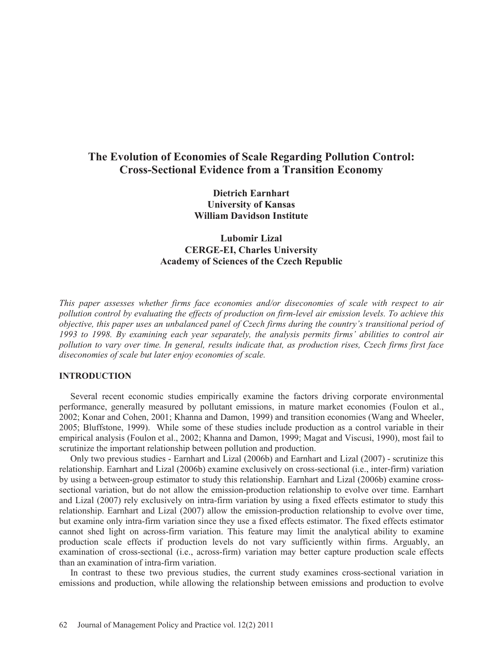# **The Evolution of Economies of Scale Regarding Pollution Control: Cross-Sectional Evidence from a Transition Economy**

**Dietrich Earnhart University of Kansas William Davidson Institute** 

## **Lubomir Lizal CERGE-EI, Charles University Academy of Sciences of the Czech Republic**

*This paper assesses whether firms face economies and/or diseconomies of scale with respect to air pollution control by evaluating the effects of production on firm-level air emission levels. To achieve this objective, this paper uses an unbalanced panel of Czech firms during the country's transitional period of 1993 to 1998. By examining each year separately, the analysis permits firms' abilities to control air pollution to vary over time. In general, results indicate that, as production rises, Czech firms first face diseconomies of scale but later enjoy economies of scale.* 

### **INTRODUCTION**

 Several recent economic studies empirically examine the factors driving corporate environmental performance, generally measured by pollutant emissions, in mature market economies (Foulon et al., 2002; Konar and Cohen, 2001; Khanna and Damon, 1999) and transition economies (Wang and Wheeler, 2005; Bluffstone, 1999). While some of these studies include production as a control variable in their empirical analysis (Foulon et al., 2002; Khanna and Damon, 1999; Magat and Viscusi, 1990), most fail to scrutinize the important relationship between pollution and production.

 Only two previous studies - Earnhart and Lizal (2006b) and Earnhart and Lizal (2007) - scrutinize this relationship. Earnhart and Lizal (2006b) examine exclusively on cross-sectional (i.e., inter-firm) variation by using a between-group estimator to study this relationship. Earnhart and Lizal (2006b) examine crosssectional variation, but do not allow the emission-production relationship to evolve over time. Earnhart and Lizal (2007) rely exclusively on intra-firm variation by using a fixed effects estimator to study this relationship. Earnhart and Lizal (2007) allow the emission-production relationship to evolve over time, but examine only intra-firm variation since they use a fixed effects estimator. The fixed effects estimator cannot shed light on across-firm variation. This feature may limit the analytical ability to examine production scale effects if production levels do not vary sufficiently within firms. Arguably, an examination of cross-sectional (i.e., across-firm) variation may better capture production scale effects than an examination of intra-firm variation.

 In contrast to these two previous studies, the current study examines cross-sectional variation in emissions and production, while allowing the relationship between emissions and production to evolve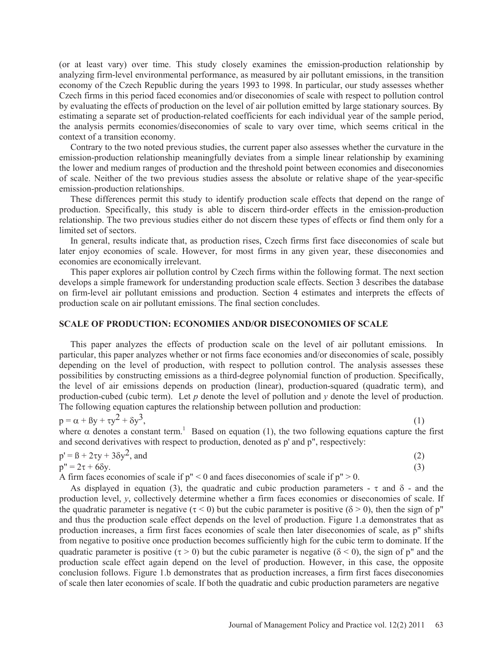(or at least vary) over time. This study closely examines the emission-production relationship by analyzing firm-level environmental performance, as measured by air pollutant emissions, in the transition economy of the Czech Republic during the years 1993 to 1998. In particular, our study assesses whether Czech firms in this period faced economies and/or diseconomies of scale with respect to pollution control by evaluating the effects of production on the level of air pollution emitted by large stationary sources. By estimating a separate set of production-related coefficients for each individual year of the sample period, the analysis permits economies/diseconomies of scale to vary over time, which seems critical in the context of a transition economy.

 Contrary to the two noted previous studies, the current paper also assesses whether the curvature in the emission-production relationship meaningfully deviates from a simple linear relationship by examining the lower and medium ranges of production and the threshold point between economies and diseconomies of scale. Neither of the two previous studies assess the absolute or relative shape of the year-specific emission-production relationships.

 These differences permit this study to identify production scale effects that depend on the range of production. Specifically, this study is able to discern third-order effects in the emission-production relationship. The two previous studies either do not discern these types of effects or find them only for a limited set of sectors.

 In general, results indicate that, as production rises, Czech firms first face diseconomies of scale but later enjoy economies of scale. However, for most firms in any given year, these diseconomies and economies are economically irrelevant.

 This paper explores air pollution control by Czech firms within the following format. The next section develops a simple framework for understanding production scale effects. Section 3 describes the database on firm-level air pollutant emissions and production. Section 4 estimates and interprets the effects of production scale on air pollutant emissions. The final section concludes.

### **SCALE OF PRODUCTION: ECONOMIES AND/OR DISECONOMIES OF SCALE**

 This paper analyzes the effects of production scale on the level of air pollutant emissions. In particular, this paper analyzes whether or not firms face economies and/or diseconomies of scale, possibly depending on the level of production, with respect to pollution control. The analysis assesses these possibilities by constructing emissions as a third-degree polynomial function of production. Specifically, the level of air emissions depends on production (linear), production-squared (quadratic term), and production-cubed (cubic term). Let  $p$  denote the level of pollution and  $\gamma$  denote the level of production. The following equation captures the relationship between pollution and production:

$$
p = \alpha + \beta y + \tau y^2 + \delta y^3,\tag{1}
$$

where  $\alpha$  denotes a constant term.<sup>1</sup> Based on equation (1), the two following equations capture the first and second derivatives with respect to production, denoted as p' and p", respectively:

$$
p' = \beta + 2\tau y + 3\delta y^2, \text{ and}
$$
 (2)

 $p'' = 2\tau + 6\delta y.$  (3)

A firm faces economies of scale if  $p'' < 0$  and faces diseconomies of scale if  $p'' > 0$ .

As displayed in equation (3), the quadratic and cubic production parameters -  $\tau$  and  $\delta$  - and the production level,  $v$ , collectively determine whether a firm faces economies or diseconomies of scale. If the quadratic parameter is negative ( $\tau$  < 0) but the cubic parameter is positive ( $\delta$  > 0), then the sign of p" and thus the production scale effect depends on the level of production. Figure 1.a demonstrates that as production increases, a firm first faces economies of scale then later diseconomies of scale, as p" shifts from negative to positive once production becomes sufficiently high for the cubic term to dominate. If the quadratic parameter is positive ( $\tau > 0$ ) but the cubic parameter is negative ( $\delta < 0$ ), the sign of p" and the production scale effect again depend on the level of production. However, in this case, the opposite conclusion follows. Figure 1.b demonstrates that as production increases, a firm first faces diseconomies of scale then later economies of scale. If both the quadratic and cubic production parameters are negative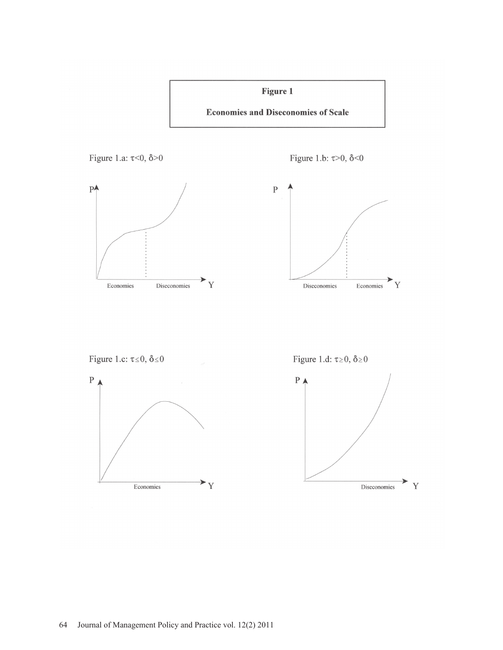



Figure 1.c:  $\tau \le 0$ ,  $\delta \le 0$ 



Figure 1.d:  $\tau \ge 0$ ,  $\delta \ge 0$ 

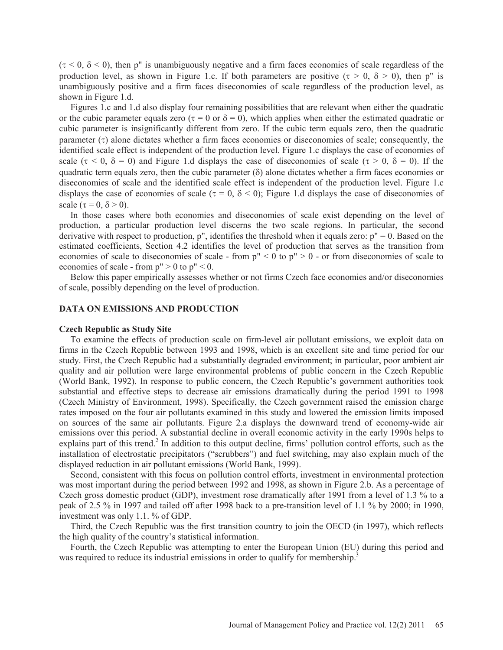$(\tau < 0, \delta < 0)$ , then p" is unambiguously negative and a firm faces economies of scale regardless of the production level, as shown in Figure 1.c. If both parameters are positive  $(\tau > 0, \delta > 0)$ , then p" is unambiguously positive and a firm faces diseconomies of scale regardless of the production level, as shown in Figure 1.d.

 Figures 1.c and 1.d also display four remaining possibilities that are relevant when either the quadratic or the cubic parameter equals zero ( $\tau = 0$  or  $\delta = 0$ ), which applies when either the estimated quadratic or cubic parameter is insignificantly different from zero. If the cubic term equals zero, then the quadratic parameter  $(\tau)$  alone dictates whether a firm faces economies or diseconomies of scale; consequently, the identified scale effect is independent of the production level. Figure 1.c displays the case of economies of scale ( $\tau$  < 0,  $\delta$  = 0) and Figure 1.d displays the case of diseconomies of scale ( $\tau$  > 0,  $\delta$  = 0). If the quadratic term equals zero, then the cubic parameter  $(\delta)$  alone dictates whether a firm faces economies or diseconomies of scale and the identified scale effect is independent of the production level. Figure 1.c displays the case of economies of scale ( $\tau = 0$ ,  $\delta < 0$ ); Figure 1.d displays the case of diseconomies of scale ( $\tau = 0$ ,  $\delta > 0$ ).

 In those cases where both economies and diseconomies of scale exist depending on the level of production, a particular production level discerns the two scale regions. In particular, the second derivative with respect to production, p", identifies the threshold when it equals zero: p" = 0. Based on the estimated coefficients, Section 4.2 identifies the level of production that serves as the transition from economies of scale to diseconomies of scale - from  $p'' < 0$  to  $p'' > 0$  - or from diseconomies of scale to economies of scale - from  $p'' > 0$  to  $p'' < 0$ .

 Below this paper empirically assesses whether or not firms Czech face economies and/or diseconomies of scale, possibly depending on the level of production.

### **DATA ON EMISSIONS AND PRODUCTION**

#### **Czech Republic as Study Site**

 To examine the effects of production scale on firm-level air pollutant emissions, we exploit data on firms in the Czech Republic between 1993 and 1998, which is an excellent site and time period for our study. First, the Czech Republic had a substantially degraded environment; in particular, poor ambient air quality and air pollution were large environmental problems of public concern in the Czech Republic (World Bank, 1992). In response to public concern, the Czech Republic's government authorities took substantial and effective steps to decrease air emissions dramatically during the period 1991 to 1998 (Czech Ministry of Environment, 1998). Specifically, the Czech government raised the emission charge rates imposed on the four air pollutants examined in this study and lowered the emission limits imposed on sources of the same air pollutants. Figure 2.a displays the downward trend of economy-wide air emissions over this period. A substantial decline in overall economic activity in the early 1990s helps to explains part of this trend.<sup>2</sup> In addition to this output decline, firms' pollution control efforts, such as the installation of electrostatic precipitators ("scrubbers") and fuel switching, may also explain much of the displayed reduction in air pollutant emissions (World Bank, 1999).

 Second, consistent with this focus on pollution control efforts, investment in environmental protection was most important during the period between 1992 and 1998, as shown in Figure 2.b. As a percentage of Czech gross domestic product (GDP), investment rose dramatically after 1991 from a level of 1.3 % to a peak of 2.5 % in 1997 and tailed off after 1998 back to a pre-transition level of 1.1 % by 2000; in 1990, investment was only 1.1. % of GDP.

 Third, the Czech Republic was the first transition country to join the OECD (in 1997), which reflects the high quality of the country's statistical information.

 Fourth, the Czech Republic was attempting to enter the European Union (EU) during this period and was required to reduce its industrial emissions in order to qualify for membership.<sup>3</sup>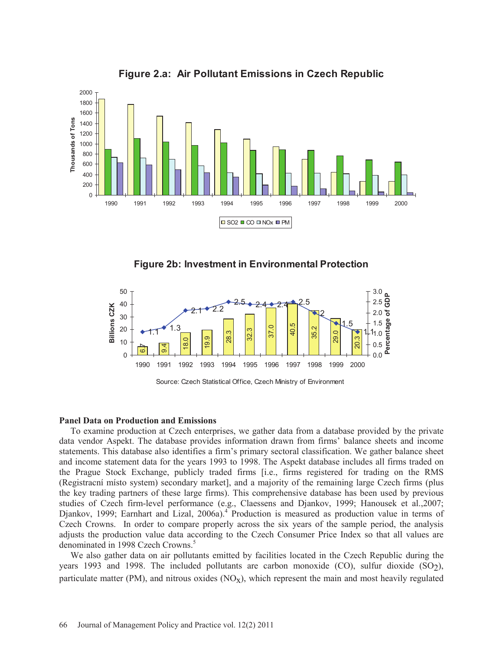

**Figure 2.a: Air Pollutant Emissions in Czech Republic**





#### **Panel Data on Production and Emissions**

 To examine production at Czech enterprises, we gather data from a database provided by the private data vendor Aspekt. The database provides information drawn from firms' balance sheets and income statements. This database also identifies a firm's primary sectoral classification. We gather balance sheet and income statement data for the years 1993 to 1998. The Aspekt database includes all firms traded on the Prague Stock Exchange, publicly traded firms [i.e., firms registered for trading on the RMS (Registracní místo system) secondary market], and a majority of the remaining large Czech firms (plus the key trading partners of these large firms). This comprehensive database has been used by previous studies of Czech firm-level performance (e.g., Claessens and Djankov, 1999; Hanousek et al.,2007; Djankov, 1999; Earnhart and Lizal, 2006a).<sup>4</sup> Production is measured as production value in terms of Czech Crowns. In order to compare properly across the six years of the sample period, the analysis adjusts the production value data according to the Czech Consumer Price Index so that all values are denominated in 1998 Czech Crowns.<sup>5</sup>

 We also gather data on air pollutants emitted by facilities located in the Czech Republic during the years 1993 and 1998. The included pollutants are carbon monoxide  $(CO)$ , sulfur dioxide  $(SO<sub>2</sub>)$ , particulate matter (PM), and nitrous oxides  $(NO_x)$ , which represent the main and most heavily regulated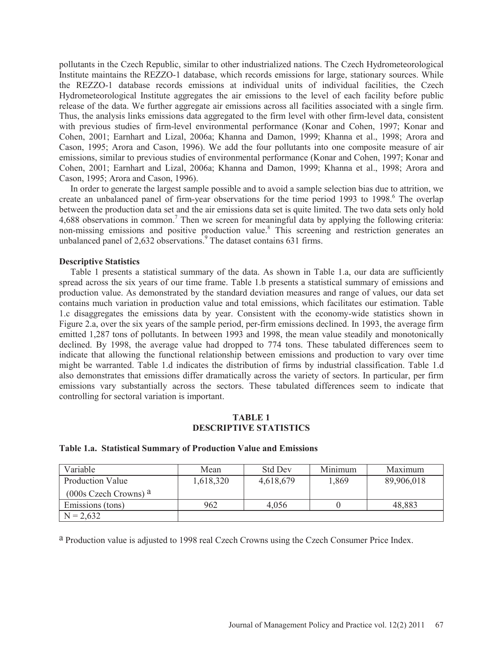pollutants in the Czech Republic, similar to other industrialized nations. The Czech Hydrometeorological Institute maintains the REZZO-1 database, which records emissions for large, stationary sources. While the REZZO-1 database records emissions at individual units of individual facilities, the Czech Hydrometeorological Institute aggregates the air emissions to the level of each facility before public release of the data. We further aggregate air emissions across all facilities associated with a single firm. Thus, the analysis links emissions data aggregated to the firm level with other firm-level data, consistent with previous studies of firm-level environmental performance (Konar and Cohen, 1997; Konar and Cohen, 2001; Earnhart and Lizal, 2006a; Khanna and Damon, 1999; Khanna et al., 1998; Arora and Cason, 1995; Arora and Cason, 1996). We add the four pollutants into one composite measure of air emissions, similar to previous studies of environmental performance (Konar and Cohen, 1997; Konar and Cohen, 2001; Earnhart and Lizal, 2006a; Khanna and Damon, 1999; Khanna et al., 1998; Arora and Cason, 1995; Arora and Cason, 1996).

 In order to generate the largest sample possible and to avoid a sample selection bias due to attrition, we create an unbalanced panel of firm-year observations for the time period 1993 to 1998.<sup>6</sup> The overlap between the production data set and the air emissions data set is quite limited. The two data sets only hold 4,688 observations in common.<sup>7</sup> Then we screen for meaningful data by applying the following criteria: non-missing emissions and positive production value.<sup>8</sup> This screening and restriction generates an unbalanced panel of  $2{,}632$  observations.<sup>9</sup> The dataset contains 631 firms.

### **Descriptive Statistics**

 Table 1 presents a statistical summary of the data. As shown in Table 1.a, our data are sufficiently spread across the six years of our time frame. Table 1.b presents a statistical summary of emissions and production value. As demonstrated by the standard deviation measures and range of values, our data set contains much variation in production value and total emissions, which facilitates our estimation. Table 1.c disaggregates the emissions data by year. Consistent with the economy-wide statistics shown in Figure 2.a, over the six years of the sample period, per-firm emissions declined. In 1993, the average firm emitted 1,287 tons of pollutants. In between 1993 and 1998, the mean value steadily and monotonically declined. By 1998, the average value had dropped to 774 tons. These tabulated differences seem to indicate that allowing the functional relationship between emissions and production to vary over time might be warranted. Table 1.d indicates the distribution of firms by industrial classification. Table 1.d also demonstrates that emissions differ dramatically across the variety of sectors. In particular, per firm emissions vary substantially across the sectors. These tabulated differences seem to indicate that controlling for sectoral variation is important.

### **TABLE 1 DESCRIPTIVE STATISTICS**

| Variable                           | Mean      | <b>Std Dev</b> | Minimum | Maximum    |
|------------------------------------|-----------|----------------|---------|------------|
| <b>Production Value</b>            | 1,618,320 | 4,618,679      | 1,869   | 89,906,018 |
| $(000s$ Czech Crowns) <sup>a</sup> |           |                |         |            |
| Emissions (tons)                   | 962       | 4,056          |         | 48,883     |
| $N = 2,632$                        |           |                |         |            |

#### **Table 1.a. Statistical Summary of Production Value and Emissions**

a Production value is adjusted to 1998 real Czech Crowns using the Czech Consumer Price Index.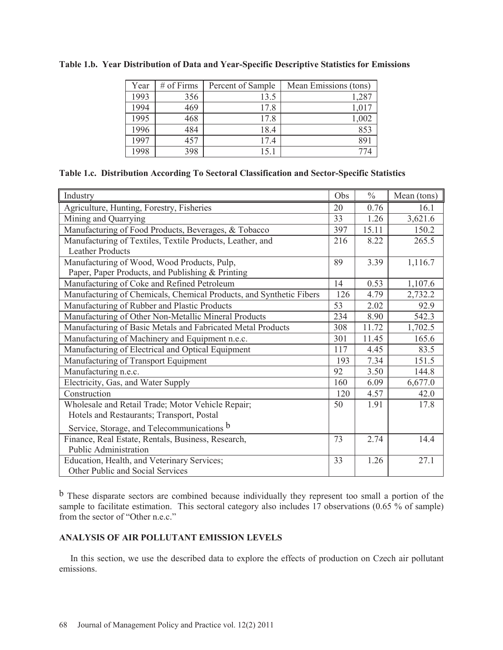| Year | $#$ of Firms | Percent of Sample | Mean Emissions (tons) |
|------|--------------|-------------------|-----------------------|
| 1993 | 356          | 13.5              | 1,287                 |
| 1994 | 469          | 17.8              | 1,017                 |
| 1995 | 468          | 17.8              | 1,002                 |
| 1996 | 484          | 18.4              | 853                   |
| 1997 | 457          | 17.4              | 891                   |
| 1998 | 398          | 15.1              | 774                   |

### **Table 1.b. Year Distribution of Data and Year-Specific Descriptive Statistics for Emissions**

| Table 1.c. Distribution According To Sectoral Classification and Sector-Specific Statistics |
|---------------------------------------------------------------------------------------------|
|---------------------------------------------------------------------------------------------|

| Industry                                                            | Obs | $\frac{0}{0}$ | Mean (tons) |
|---------------------------------------------------------------------|-----|---------------|-------------|
| Agriculture, Hunting, Forestry, Fisheries                           | 20  | 0.76          | 16.1        |
| Mining and Quarrying                                                | 33  | 1.26          | 3,621.6     |
| Manufacturing of Food Products, Beverages, & Tobacco                | 397 | 15.11         | 150.2       |
| Manufacturing of Textiles, Textile Products, Leather, and           | 216 | 8.22          | 265.5       |
| <b>Leather Products</b>                                             |     |               |             |
| Manufacturing of Wood, Wood Products, Pulp,                         | 89  | 3.39          | 1,116.7     |
| Paper, Paper Products, and Publishing & Printing                    |     |               |             |
| Manufacturing of Coke and Refined Petroleum                         | 14  | 0.53          | 1,107.6     |
| Manufacturing of Chemicals, Chemical Products, and Synthetic Fibers | 126 | 4.79          | 2,732.2     |
| Manufacturing of Rubber and Plastic Products                        | 53  | 2.02          | 92.9        |
| Manufacturing of Other Non-Metallic Mineral Products                | 234 | 8.90          | 542.3       |
| Manufacturing of Basic Metals and Fabricated Metal Products         | 308 | 11.72         | 1,702.5     |
| Manufacturing of Machinery and Equipment n.e.c.                     | 301 | 11.45         | 165.6       |
| Manufacturing of Electrical and Optical Equipment                   | 117 | 4.45          | 83.5        |
| Manufacturing of Transport Equipment                                | 193 | 7.34          | 151.5       |
| Manufacturing n.e.c.                                                | 92  | 3.50          | 144.8       |
| Electricity, Gas, and Water Supply                                  | 160 | 6.09          | 6,677.0     |
| Construction                                                        | 120 | 4.57          | 42.0        |
| Wholesale and Retail Trade; Motor Vehicle Repair;                   | 50  | 1.91          | 17.8        |
| Hotels and Restaurants; Transport, Postal                           |     |               |             |
| Service, Storage, and Telecommunications b                          |     |               |             |
| Finance, Real Estate, Rentals, Business, Research,                  | 73  | 2.74          | 14.4        |
| <b>Public Administration</b>                                        |     |               |             |
| Education, Health, and Veterinary Services;                         | 33  | 1.26          | 27.1        |
| Other Public and Social Services                                    |     |               |             |

b These disparate sectors are combined because individually they represent too small a portion of the sample to facilitate estimation. This sectoral category also includes 17 observations (0.65 % of sample) from the sector of "Other n.e.c."

## **ANALYSIS OF AIR POLLUTANT EMISSION LEVELS**

 In this section, we use the described data to explore the effects of production on Czech air pollutant emissions.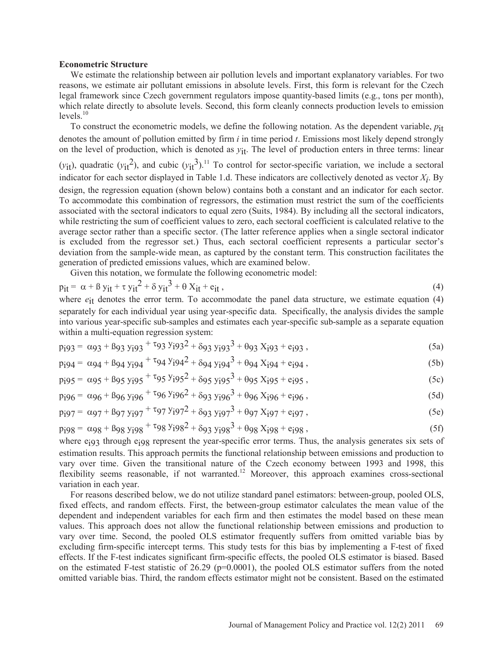#### **Econometric Structure**

 We estimate the relationship between air pollution levels and important explanatory variables. For two reasons, we estimate air pollutant emissions in absolute levels. First, this form is relevant for the Czech legal framework since Czech government regulators impose quantity-based limits (e.g., tons per month), which relate directly to absolute levels. Second, this form cleanly connects production levels to emission  $levels.<sup>10</sup>$ 

 To construct the econometric models, we define the following notation. As the dependent variable, *p*it denotes the amount of pollution emitted by firm *i* in time period *t*. Emissions most likely depend strongly on the level of production, which is denoted as  $y_{it}$ . The level of production enters in three terms: linear

 $(y_{it})$ , quadratic  $(y_{it}^2)$ , and cubic  $(y_{it}^3)^{11}$  To control for sector-specific variation, we include a sectoral indicator for each sector displayed in Table 1.d. These indicators are collectively denoted as vector  $X_i$ . By design, the regression equation (shown below) contains both a constant and an indicator for each sector. To accommodate this combination of regressors, the estimation must restrict the sum of the coefficients associated with the sectoral indicators to equal zero (Suits, 1984). By including all the sectoral indicators, while restricting the sum of coefficient values to zero, each sectoral coefficient is calculated relative to the average sector rather than a specific sector. (The latter reference applies when a single sectoral indicator is excluded from the regressor set.) Thus, each sectoral coefficient represents a particular sector's deviation from the sample-wide mean, as captured by the constant term. This construction facilitates the generation of predicted emissions values, which are examined below.

Given this notation, we formulate the following econometric model:

$$
p_{it} = \alpha + \beta y_{it} + \tau y_{it}^2 + \delta y_{it}^3 + \theta X_{it} + e_{it},
$$
\n(4)

where  $e_{it}$  denotes the error term. To accommodate the panel data structure, we estimate equation (4) separately for each individual year using year-specific data. Specifically, the analysis divides the sample into various year-specific sub-samples and estimates each year-specific sub-sample as a separate equation within a multi-equation regression system:

$$
p_1g_3 = \alpha g_3 + \beta g_3 y_1 g_3 + \tau g_3 y_1 g_3^2 + \delta g_3 y_1 g_3^3 + \theta g_3 x_1 g_3 + \epsilon_1 g_3, \qquad (5a)
$$

$$
p_1q_4 = \alpha q_4 + \beta q_4 y_1 q_4 + \tau q_4 y_1 q_4^2 + \delta q_4 y_1 q_4^3 + \theta q_4 x_1 q_4 + \epsilon q_4^2,
$$
\n(5b)

$$
p_{j95} = \alpha_{95} + \beta_{95} y_{j95} + \tau_{95} y_{j95}^2 + \delta_{95} y_{j95}^3 + \theta_{95} x_{j95} + e_{j95},
$$
\n(5c)

$$
p_1 g_6 = \alpha g_6 + \beta g_6 y_1 g_6 + \tau g_6 y_1 g_6^2 + \delta g_3 y_1 g_6^3 + \theta g_6 x_1 g_6 + e_1 g_6, \qquad (5d)
$$

$$
p_{j}g_{7} = \alpha g_{7} + \beta g_{7} y_{j}g_{7} + \tau g_{7} y_{j}g_{7}^{2} + \delta g_{3} y_{j}g_{7}^{3} + \theta g_{7} X_{j}g_{7} + e_{j}g_{7},
$$
\n(5e)

$$
p_1 g_8 = \alpha g_8 + \beta g_8 y_1 g_8 + \tau g_8 y_1 g_8^2 + \delta g_3 y_1 g_8^3 + \theta g_8 x_1 g_8 + \epsilon g_8 , \qquad (5f)
$$

where e<sub>j93</sub> through e<sub>j98</sub> represent the year-specific error terms. Thus, the analysis generates six sets of estimation results. This approach permits the functional relationship between emissions and production to vary over time. Given the transitional nature of the Czech economy between 1993 and 1998, this flexibility seems reasonable, if not warranted.<sup>12</sup> Moreover, this approach examines cross-sectional variation in each year.

 For reasons described below, we do not utilize standard panel estimators: between-group, pooled OLS, fixed effects, and random effects. First, the between-group estimator calculates the mean value of the dependent and independent variables for each firm and then estimates the model based on these mean values. This approach does not allow the functional relationship between emissions and production to vary over time. Second, the pooled OLS estimator frequently suffers from omitted variable bias by excluding firm-specific intercept terms. This study tests for this bias by implementing a F-test of fixed effects. If the F-test indicates significant firm-specific effects, the pooled OLS estimator is biased. Based on the estimated F-test statistic of 26.29 (p=0.0001), the pooled OLS estimator suffers from the noted omitted variable bias. Third, the random effects estimator might not be consistent. Based on the estimated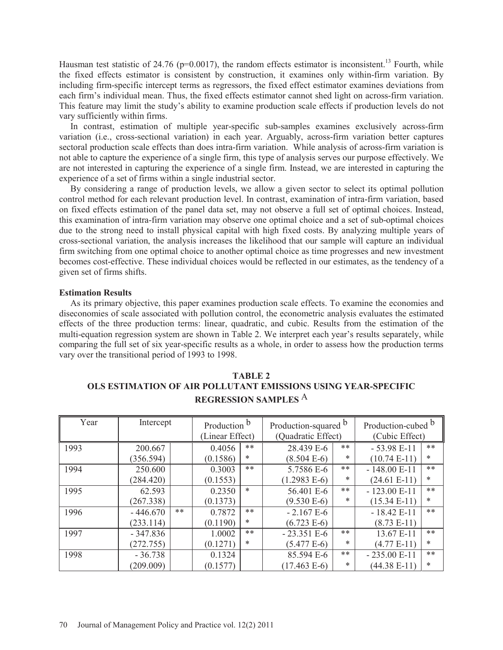Hausman test statistic of 24.76 (p=0.0017), the random effects estimator is inconsistent.<sup>13</sup> Fourth, while the fixed effects estimator is consistent by construction, it examines only within-firm variation. By including firm-specific intercept terms as regressors, the fixed effect estimator examines deviations from each firm's individual mean. Thus, the fixed effects estimator cannot shed light on across-firm variation. This feature may limit the study's ability to examine production scale effects if production levels do not vary sufficiently within firms.

 In contrast, estimation of multiple year-specific sub-samples examines exclusively across-firm variation (i.e., cross-sectional variation) in each year. Arguably, across-firm variation better captures sectoral production scale effects than does intra-firm variation. While analysis of across-firm variation is not able to capture the experience of a single firm, this type of analysis serves our purpose effectively. We are not interested in capturing the experience of a single firm. Instead, we are interested in capturing the experience of a set of firms within a single industrial sector.

 By considering a range of production levels, we allow a given sector to select its optimal pollution control method for each relevant production level. In contrast, examination of intra-firm variation, based on fixed effects estimation of the panel data set, may not observe a full set of optimal choices. Instead, this examination of intra-firm variation may observe one optimal choice and a set of sub-optimal choices due to the strong need to install physical capital with high fixed costs. By analyzing multiple years of cross-sectional variation, the analysis increases the likelihood that our sample will capture an individual firm switching from one optimal choice to another optimal choice as time progresses and new investment becomes cost-effective. These individual choices would be reflected in our estimates, as the tendency of a given set of firms shifts.

#### **Estimation Results**

 As its primary objective, this paper examines production scale effects. To examine the economies and diseconomies of scale associated with pollution control, the econometric analysis evaluates the estimated effects of the three production terms: linear, quadratic, and cubic. Results from the estimation of the multi-equation regression system are shown in Table 2. We interpret each year's results separately, while comparing the full set of six year-specific results as a whole, in order to assess how the production terms vary over the transitional period of 1993 to 1998.

| Year | Intercept  |    | Production b<br>(Linear Effect) |        | Production-squared b<br>(Quadratic Effect) |        | Production-cubed b<br>(Cubic Effect) |        |
|------|------------|----|---------------------------------|--------|--------------------------------------------|--------|--------------------------------------|--------|
| 1993 | 200.667    |    | 0.4056                          | **     | 28.439 E-6                                 | **     | $-53.98 E-11$                        | $***$  |
|      | (356.594)  |    | (0.1586)                        | $\ast$ | $(8.504 E-6)$                              | $\ast$ | $(10.74 E-11)$                       | $\ast$ |
| 1994 | 250.600    |    | 0.3003                          | $***$  | 5.7586 E-6                                 | $***$  | $-148.00 E-11$                       | $***$  |
|      | (284.420)  |    | (0.1553)                        |        | $(1.2983 E-6)$                             | *      | $(24.61 E-11)$                       | $\ast$ |
| 1995 | 62.593     |    | 0.2350                          | $\ast$ | 56.401 E-6                                 | $***$  | $-123.00 E-11$                       | $***$  |
|      | (267.338)  |    | (0.1373)                        |        | $(9.530 E-6)$                              | *      | $(15.34 E-11)$                       | $\ast$ |
| 1996 | $-446.670$ | ** | 0.7872                          | **     | $-2.167 E-6$                               |        | $-18.42 E-11$                        | $***$  |
|      | (233.114)  |    | (0.1190)                        | *      | $(6.723 E-6)$                              |        | $(8.73 E-11)$                        |        |
| 1997 | $-347.836$ |    | 1.0002                          | **     | $-23.351 E-6$                              | $***$  | 13.67 E-11                           | $***$  |
|      | (272.755)  |    | (0.1271)                        | *      | $(5.477 E-6)$                              | $\ast$ | $(4.77 E-11)$                        | *      |
| 1998 | $-36.738$  |    | 0.1324                          |        | 85.594 E-6                                 | **     | $-235.00 E-11$                       | $***$  |
|      | (209.009)  |    | (0.1577)                        |        | $(17.463 E-6)$                             | *      | $(44.38 E-11)$                       | *      |

**TABLE 2 OLS ESTIMATION OF AIR POLLUTANT EMISSIONS USING YEAR-SPECIFIC REGRESSION SAMPLES** A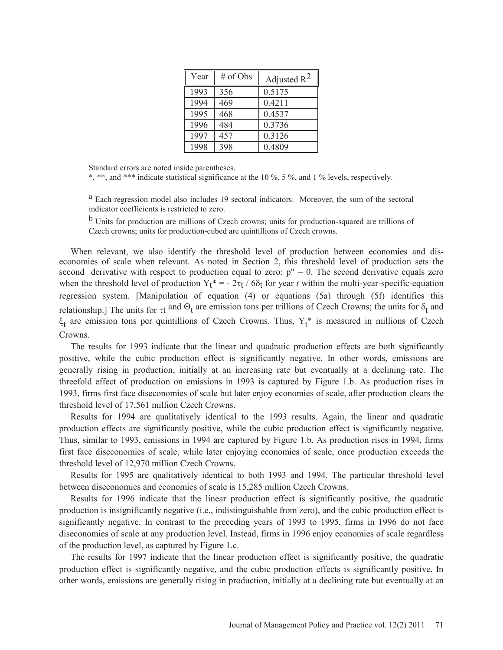| Year | $#$ of Obs | Adjusted $R^2$ |
|------|------------|----------------|
| 1993 | 356        | 0.5175         |
| 1994 | 469        | 0.4211         |
| 1995 | 468        | 0.4537         |
| 1996 | 484        | 0.3736         |
| 1997 | 457        | 0.3126         |
| 1998 | 398        | 0.4809         |

Standard errors are noted inside parentheses.

\*, \*\*, and \*\*\* indicate statistical significance at the 10 %, 5 %, and 1 % levels, respectively.

a Each regression model also includes 19 sectoral indicators. Moreover, the sum of the sectoral indicator coefficients is restricted to zero.

b Units for production are millions of Czech crowns; units for production-squared are trillions of Czech crowns; units for production-cubed are quintillions of Czech crowns.

When relevant, we also identify the threshold level of production between economies and diseconomies of scale when relevant. As noted in Section 2, this threshold level of production sets the second derivative with respect to production equal to zero:  $p'' = 0$ . The second derivative equals zero when the threshold level of production  $Y_t^* = -2\tau_t / 6\delta_t$  for year *t* within the multi-year-specific-equation regression system. [Manipulation of equation (4) or equations (5a) through (5f) identifies this relationship.] The units for  $\tau t$  and  $\Theta_t$  are emission tons per trillions of Czech Crowns; the units for  $\delta_t$  and  $\xi_t$  are emission tons per quintillions of Czech Crowns. Thus,  $Y_t^*$  is measured in millions of Czech Crowns.

 The results for 1993 indicate that the linear and quadratic production effects are both significantly positive, while the cubic production effect is significantly negative. In other words, emissions are generally rising in production, initially at an increasing rate but eventually at a declining rate. The threefold effect of production on emissions in 1993 is captured by Figure 1.b. As production rises in 1993, firms first face diseconomies of scale but later enjoy economies of scale, after production clears the threshold level of 17,561 million Czech Crowns.

 Results for 1994 are qualitatively identical to the 1993 results. Again, the linear and quadratic production effects are significantly positive, while the cubic production effect is significantly negative. Thus, similar to 1993, emissions in 1994 are captured by Figure 1.b. As production rises in 1994, firms first face diseconomies of scale, while later enjoying economies of scale, once production exceeds the threshold level of 12,970 million Czech Crowns.

 Results for 1995 are qualitatively identical to both 1993 and 1994. The particular threshold level between diseconomies and economies of scale is 15,285 million Czech Crowns.

 Results for 1996 indicate that the linear production effect is significantly positive, the quadratic production is insignificantly negative (i.e., indistinguishable from zero), and the cubic production effect is significantly negative. In contrast to the preceding years of 1993 to 1995, firms in 1996 do not face diseconomies of scale at any production level. Instead, firms in 1996 enjoy economies of scale regardless of the production level, as captured by Figure 1.c.

 The results for 1997 indicate that the linear production effect is significantly positive, the quadratic production effect is significantly negative, and the cubic production effects is significantly positive. In other words, emissions are generally rising in production, initially at a declining rate but eventually at an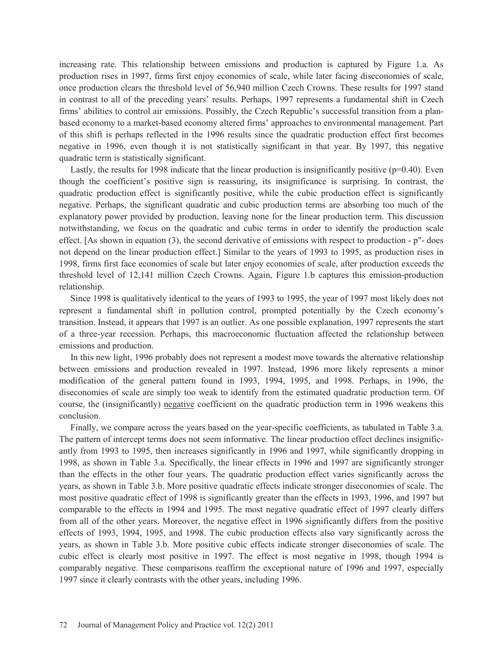increasing rate. This relationship between emissions and production is captured by Figure 1.a. As production rises in 1997, firms first enjoy economies of scale, while later facing diseconomies of scale, once production clears the threshold level of 56,940 million Czech Crowns. These results for 1997 stand in contrast to all of the preceding years' results. Perhaps, 1997 represents a fundamental shift in Czech firms' abilities to control air emissions. Possibly, the Czech Republic's successful transition from a planbased economy to a market-based economy altered firms' approaches to environmental management. Part of this shift is perhaps reflected in the 1996 results since the quadratic production effect first becomes negative in 1996, even though it is not statistically significant in that year. By 1997, this negative quadratic term is statistically significant.

Lastly, the results for 1998 indicate that the linear production is insignificantly positive ( $p=0.40$ ). Even though the coefficient's positive sign is reassuring, its insignificance is surprising. In contrast, the quadratic production effect is significantly positive, while the cubic production effect is significantly negative. Perhaps, the significant quadratic and cubic production terms are absorbing too much of the explanatory power provided by production, leaving none for the linear production term. This discussion notwithstanding, we focus on the quadratic and cubic terms in order to identify the production scale effect. [As shown in equation (3), the second derivative of emissions with respect to production - p"- does not depend on the linear production effect.] Similar to the years of 1993 to 1995, as production rises in 1998, firms first face economies of scale but later enjoy economies of scale, after production exceeds the threshold level of 12,141 million Czech Crowns. Again, Figure 1.b captures this emission-production relationship.

 Since 1998 is qualitatively identical to the years of 1993 to 1995, the year of 1997 most likely does not represent a fundamental shift in pollution control, prompted potentially by the Czech economy's transition. Instead, it appears that 1997 is an outlier. As one possible explanation, 1997 represents the start of a three-year recession. Perhaps, this macroeconomic fluctuation affected the relationship between emissions and production.

 In this new light, 1996 probably does not represent a modest move towards the alternative relationship between emissions and production revealed in 1997. Instead, 1996 more likely represents a minor modification of the general pattern found in 1993, 1994, 1995, and 1998. Perhaps, in 1996, the diseconomies of scale are simply too weak to identify from the estimated quadratic production term. Of course, the (insignificantly) negative coefficient on the quadratic production term in 1996 weakens this conclusion.

 Finally, we compare across the years based on the year-specific coefficients, as tabulated in Table 3.a. The pattern of intercept terms does not seem informative. The linear production effect declines insignificantly from 1993 to 1995, then increases significantly in 1996 and 1997, while significantly dropping in 1998, as shown in Table 3.a. Specifically, the linear effects in 1996 and 1997 are significantly stronger than the effects in the other four years. The quadratic production effect varies significantly across the years, as shown in Table 3.b. More positive quadratic effects indicate stronger diseconomies of scale. The most positive quadratic effect of 1998 is significantly greater than the effects in 1993, 1996, and 1997 but comparable to the effects in 1994 and 1995. The most negative quadratic effect of 1997 clearly differs from all of the other years. Moreover, the negative effect in 1996 significantly differs from the positive effects of 1993, 1994, 1995, and 1998. The cubic production effects also vary significantly across the years, as shown in Table 3.b. More positive cubic effects indicate stronger diseconomies of scale. The cubic effect is clearly most positive in 1997. The effect is most negative in 1998, though 1994 is comparably negative. These comparisons reaffirm the exceptional nature of 1996 and 1997, especially 1997 since it clearly contrasts with the other years, including 1996.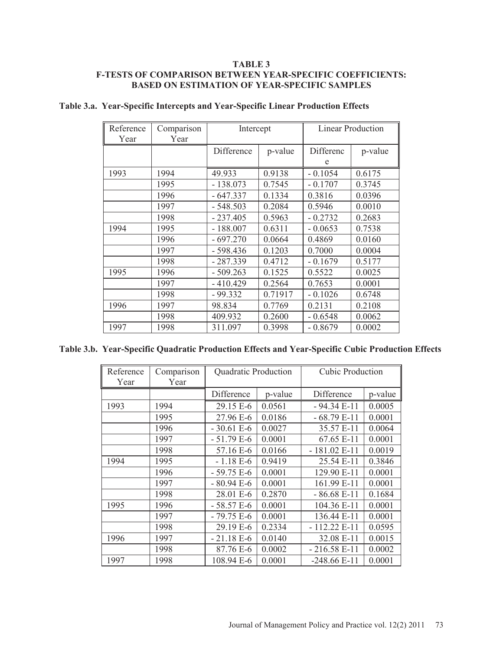### **TABLE 3 F-TESTS OF COMPARISON BETWEEN YEAR-SPECIFIC COEFFICIENTS: BASED ON ESTIMATION OF YEAR-SPECIFIC SAMPLES**

| Reference<br>Year | Comparison<br>Year | Intercept  |         | <b>Linear Production</b> |         |
|-------------------|--------------------|------------|---------|--------------------------|---------|
|                   |                    | Difference | p-value | Differenc                | p-value |
| 1993              | 1994               | 49.933     | 0.9138  | e<br>$-0.1054$           | 0.6175  |
|                   | 1995               | $-138.073$ | 0.7545  | $-0.1707$                | 0.3745  |
|                   | 1996               | $-647.337$ | 0.1334  | 0.3816                   | 0.0396  |
|                   | 1997               | $-548.503$ | 0.2084  | 0.5946                   | 0.0010  |
|                   | 1998               | $-237.405$ | 0.5963  | $-0.2732$                | 0.2683  |
| 1994              | 1995               | $-188.007$ | 0.6311  | $-0.0653$                | 0.7538  |
|                   | 1996               | $-697.270$ | 0.0664  | 0.4869                   | 0.0160  |
|                   | 1997               | $-598.436$ | 0.1203  | 0.7000                   | 0.0004  |
|                   | 1998               | $-287.339$ | 0.4712  | $-0.1679$                | 0.5177  |
| 1995              | 1996               | $-509.263$ | 0.1525  | 0.5522                   | 0.0025  |
|                   | 1997               | $-410.429$ | 0.2564  | 0.7653                   | 0.0001  |
|                   | 1998               | - 99.332   | 0.71917 | $-0.1026$                | 0.6748  |
| 1996              | 1997               | 98.834     | 0.7769  | 0.2131                   | 0.2108  |
|                   | 1998               | 409.932    | 0.2600  | $-0.6548$                | 0.0062  |
| 1997              | 1998               | 311.097    | 0.3998  | - 0.8679                 | 0.0002  |

## **Table 3.a. Year-Specific Intercepts and Year-Specific Linear Production Effects**

|  |  | Table 3.b. Year-Specific Quadratic Production Effects and Year-Specific Cubic Production Effects |  |  |  |
|--|--|--------------------------------------------------------------------------------------------------|--|--|--|
|--|--|--------------------------------------------------------------------------------------------------|--|--|--|

| Reference<br>Year | Comparison<br>Year | Quadratic Production |         | <b>Cubic Production</b> |         |
|-------------------|--------------------|----------------------|---------|-------------------------|---------|
|                   |                    | Difference           | p-value | Difference              | p-value |
| 1993              | 1994               | 29.15 E-6            | 0.0561  | $-94.34 E-11$           | 0.0005  |
|                   | 1995               | 27.96 E-6            | 0.0186  | $-68.79E-11$            | 0.0001  |
|                   | 1996               | $-30.61 E-6$         | 0.0027  | 35.57 E-11              | 0.0064  |
|                   | 1997               | $-51.79 E-6$         | 0.0001  | 67.65 E-11              | 0.0001  |
|                   | 1998               | 57.16 E-6            | 0.0166  | $-181.02$ E-11          | 0.0019  |
| 1994              | 1995               | $-1.18E-6$           | 0.9419  | 25.54 E-11              | 0.3846  |
|                   | 1996               | $-59.75 E-6$         | 0.0001  | 129.90 E-11             | 0.0001  |
|                   | 1997               | $-80.94 E-6$         | 0.0001  | 161.99 E-11             | 0.0001  |
|                   | 1998               | 28.01 E-6            | 0.2870  | $-86.68 E-11$           | 0.1684  |
| 1995              | 1996               | $-58.57 E-6$         | 0.0001  | 104.36 E-11             | 0.0001  |
|                   | 1997               | $-79.75 E-6$         | 0.0001  | 136.44 E-11             | 0.0001  |
|                   | 1998               | 29.19 E-6            | 0.2334  | $-112.22E-11$           | 0.0595  |
| 1996              | 1997               | $-21.18 E-6$         | 0.0140  | 32.08 E-11              | 0.0015  |
|                   | 1998               | 87.76 E-6            | 0.0002  | $-216.58 E-11$          | 0.0002  |
| 1997              | 1998               | 108.94 E-6           | 0.0001  | $-248.66 E-11$          | 0.0001  |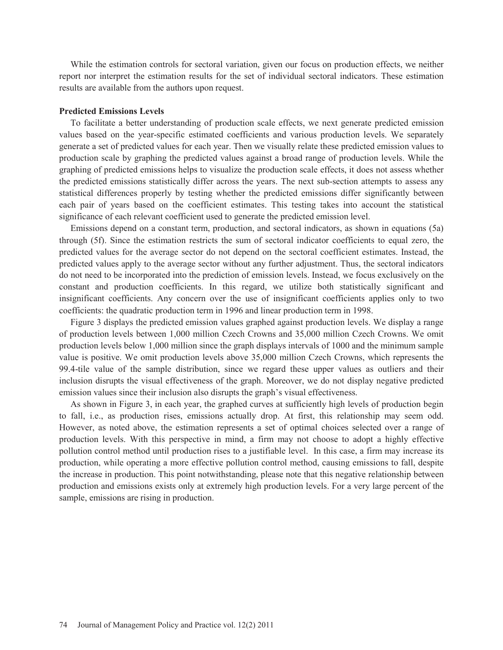While the estimation controls for sectoral variation, given our focus on production effects, we neither report nor interpret the estimation results for the set of individual sectoral indicators. These estimation results are available from the authors upon request.

#### **Predicted Emissions Levels**

 To facilitate a better understanding of production scale effects, we next generate predicted emission values based on the year-specific estimated coefficients and various production levels. We separately generate a set of predicted values for each year. Then we visually relate these predicted emission values to production scale by graphing the predicted values against a broad range of production levels. While the graphing of predicted emissions helps to visualize the production scale effects, it does not assess whether the predicted emissions statistically differ across the years. The next sub-section attempts to assess any statistical differences properly by testing whether the predicted emissions differ significantly between each pair of years based on the coefficient estimates. This testing takes into account the statistical significance of each relevant coefficient used to generate the predicted emission level.

 Emissions depend on a constant term, production, and sectoral indicators, as shown in equations (5a) through (5f). Since the estimation restricts the sum of sectoral indicator coefficients to equal zero, the predicted values for the average sector do not depend on the sectoral coefficient estimates. Instead, the predicted values apply to the average sector without any further adjustment. Thus, the sectoral indicators do not need to be incorporated into the prediction of emission levels. Instead, we focus exclusively on the constant and production coefficients. In this regard, we utilize both statistically significant and insignificant coefficients. Any concern over the use of insignificant coefficients applies only to two coefficients: the quadratic production term in 1996 and linear production term in 1998.

 Figure 3 displays the predicted emission values graphed against production levels. We display a range of production levels between 1,000 million Czech Crowns and 35,000 million Czech Crowns. We omit production levels below 1,000 million since the graph displays intervals of 1000 and the minimum sample value is positive. We omit production levels above 35,000 million Czech Crowns, which represents the 99.4-tile value of the sample distribution, since we regard these upper values as outliers and their inclusion disrupts the visual effectiveness of the graph. Moreover, we do not display negative predicted emission values since their inclusion also disrupts the graph's visual effectiveness.

 As shown in Figure 3, in each year, the graphed curves at sufficiently high levels of production begin to fall, i.e., as production rises, emissions actually drop. At first, this relationship may seem odd. However, as noted above, the estimation represents a set of optimal choices selected over a range of production levels. With this perspective in mind, a firm may not choose to adopt a highly effective pollution control method until production rises to a justifiable level. In this case, a firm may increase its production, while operating a more effective pollution control method, causing emissions to fall, despite the increase in production. This point notwithstanding, please note that this negative relationship between production and emissions exists only at extremely high production levels. For a very large percent of the sample, emissions are rising in production.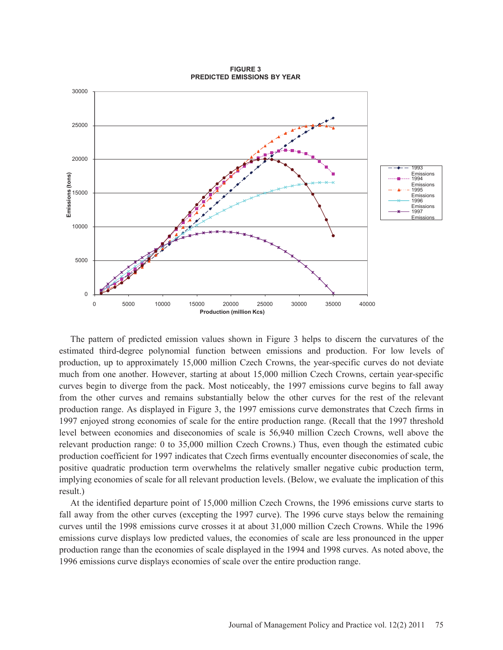

**FIGURE 3 PREDICTED EMISSIONS BY YEAR**

 The pattern of predicted emission values shown in Figure 3 helps to discern the curvatures of the estimated third-degree polynomial function between emissions and production. For low levels of production, up to approximately 15,000 million Czech Crowns, the year-specific curves do not deviate much from one another. However, starting at about 15,000 million Czech Crowns, certain year-specific curves begin to diverge from the pack. Most noticeably, the 1997 emissions curve begins to fall away from the other curves and remains substantially below the other curves for the rest of the relevant production range. As displayed in Figure 3, the 1997 emissions curve demonstrates that Czech firms in 1997 enjoyed strong economies of scale for the entire production range. (Recall that the 1997 threshold level between economies and diseconomies of scale is 56,940 million Czech Crowns, well above the relevant production range: 0 to 35,000 million Czech Crowns.) Thus, even though the estimated cubic production coefficient for 1997 indicates that Czech firms eventually encounter diseconomies of scale, the positive quadratic production term overwhelms the relatively smaller negative cubic production term, implying economies of scale for all relevant production levels. (Below, we evaluate the implication of this result.)

 At the identified departure point of 15,000 million Czech Crowns, the 1996 emissions curve starts to fall away from the other curves (excepting the 1997 curve). The 1996 curve stays below the remaining curves until the 1998 emissions curve crosses it at about 31,000 million Czech Crowns. While the 1996 emissions curve displays low predicted values, the economies of scale are less pronounced in the upper production range than the economies of scale displayed in the 1994 and 1998 curves. As noted above, the 1996 emissions curve displays economies of scale over the entire production range.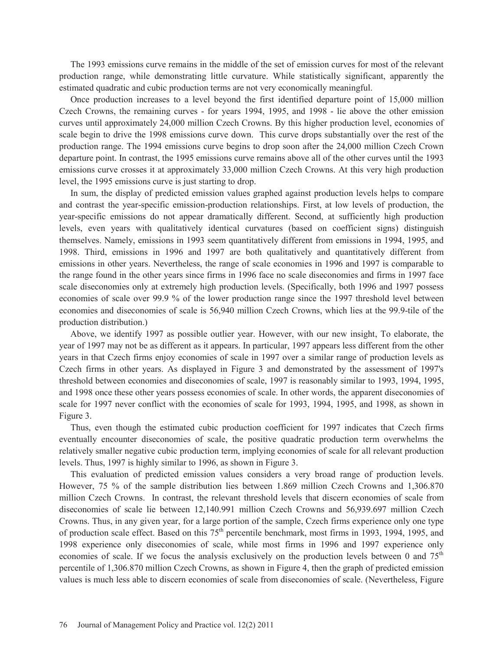The 1993 emissions curve remains in the middle of the set of emission curves for most of the relevant production range, while demonstrating little curvature. While statistically significant, apparently the estimated quadratic and cubic production terms are not very economically meaningful.

 Once production increases to a level beyond the first identified departure point of 15,000 million Czech Crowns, the remaining curves - for years 1994, 1995, and 1998 - lie above the other emission curves until approximately 24,000 million Czech Crowns. By this higher production level, economies of scale begin to drive the 1998 emissions curve down. This curve drops substantially over the rest of the production range. The 1994 emissions curve begins to drop soon after the 24,000 million Czech Crown departure point. In contrast, the 1995 emissions curve remains above all of the other curves until the 1993 emissions curve crosses it at approximately 33,000 million Czech Crowns. At this very high production level, the 1995 emissions curve is just starting to drop.

 In sum, the display of predicted emission values graphed against production levels helps to compare and contrast the year-specific emission-production relationships. First, at low levels of production, the year-specific emissions do not appear dramatically different. Second, at sufficiently high production levels, even years with qualitatively identical curvatures (based on coefficient signs) distinguish themselves. Namely, emissions in 1993 seem quantitatively different from emissions in 1994, 1995, and 1998. Third, emissions in 1996 and 1997 are both qualitatively and quantitatively different from emissions in other years. Nevertheless, the range of scale economies in 1996 and 1997 is comparable to the range found in the other years since firms in 1996 face no scale diseconomies and firms in 1997 face scale diseconomies only at extremely high production levels. (Specifically, both 1996 and 1997 possess economies of scale over 99.9 % of the lower production range since the 1997 threshold level between economies and diseconomies of scale is 56,940 million Czech Crowns, which lies at the 99.9-tile of the production distribution.)

 Above, we identify 1997 as possible outlier year. However, with our new insight, To elaborate, the year of 1997 may not be as different as it appears. In particular, 1997 appears less different from the other years in that Czech firms enjoy economies of scale in 1997 over a similar range of production levels as Czech firms in other years. As displayed in Figure 3 and demonstrated by the assessment of 1997's threshold between economies and diseconomies of scale, 1997 is reasonably similar to 1993, 1994, 1995, and 1998 once these other years possess economies of scale. In other words, the apparent diseconomies of scale for 1997 never conflict with the economies of scale for 1993, 1994, 1995, and 1998, as shown in Figure 3.

 Thus, even though the estimated cubic production coefficient for 1997 indicates that Czech firms eventually encounter diseconomies of scale, the positive quadratic production term overwhelms the relatively smaller negative cubic production term, implying economies of scale for all relevant production levels. Thus, 1997 is highly similar to 1996, as shown in Figure 3.

 This evaluation of predicted emission values considers a very broad range of production levels. However, 75 % of the sample distribution lies between 1.869 million Czech Crowns and 1,306.870 million Czech Crowns. In contrast, the relevant threshold levels that discern economies of scale from diseconomies of scale lie between 12,140.991 million Czech Crowns and 56,939.697 million Czech Crowns. Thus, in any given year, for a large portion of the sample, Czech firms experience only one type of production scale effect. Based on this  $75<sup>th</sup>$  percentile benchmark, most firms in 1993, 1994, 1995, and 1998 experience only diseconomies of scale, while most firms in 1996 and 1997 experience only economies of scale. If we focus the analysis exclusively on the production levels between 0 and  $75<sup>th</sup>$ percentile of 1,306.870 million Czech Crowns, as shown in Figure 4, then the graph of predicted emission values is much less able to discern economies of scale from diseconomies of scale. (Nevertheless, Figure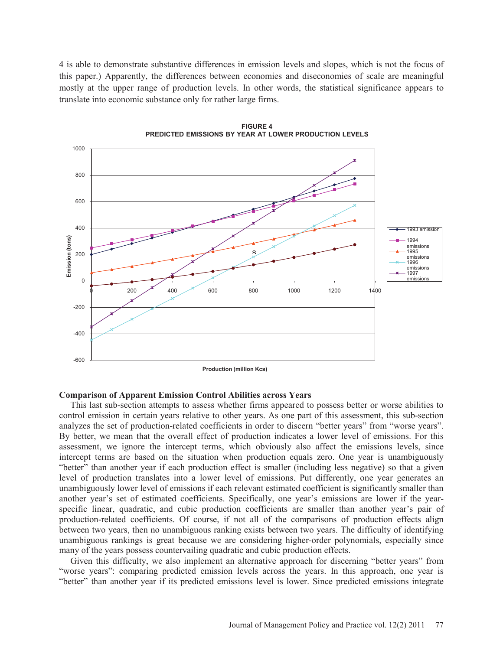4 is able to demonstrate substantive differences in emission levels and slopes, which is not the focus of this paper.) Apparently, the differences between economies and diseconomies of scale are meaningful mostly at the upper range of production levels. In other words, the statistical significance appears to translate into economic substance only for rather large firms.



**FIGURE 4 PREDICTED EMISSIONS BY YEAR AT LOWER PRODUCTION LEVELS**

**Production (million Kcs)**

### **Comparison of Apparent Emission Control Abilities across Years**

 This last sub-section attempts to assess whether firms appeared to possess better or worse abilities to control emission in certain years relative to other years. As one part of this assessment, this sub-section analyzes the set of production-related coefficients in order to discern "better years" from "worse years". By better, we mean that the overall effect of production indicates a lower level of emissions. For this assessment, we ignore the intercept terms, which obviously also affect the emissions levels, since intercept terms are based on the situation when production equals zero. One year is unambiguously "better" than another year if each production effect is smaller (including less negative) so that a given level of production translates into a lower level of emissions. Put differently, one year generates an unambiguously lower level of emissions if each relevant estimated coefficient is significantly smaller than another year's set of estimated coefficients. Specifically, one year's emissions are lower if the yearspecific linear, quadratic, and cubic production coefficients are smaller than another year's pair of production-related coefficients. Of course, if not all of the comparisons of production effects align between two years, then no unambiguous ranking exists between two years. The difficulty of identifying unambiguous rankings is great because we are considering higher-order polynomials, especially since many of the years possess countervailing quadratic and cubic production effects.

 Given this difficulty, we also implement an alternative approach for discerning "better years" from "worse years": comparing predicted emission levels across the years. In this approach, one year is "better" than another year if its predicted emissions level is lower. Since predicted emissions integrate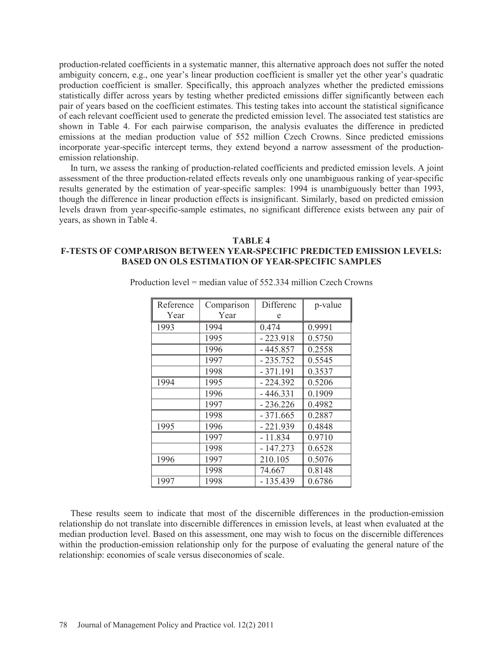production-related coefficients in a systematic manner, this alternative approach does not suffer the noted ambiguity concern, e.g., one year's linear production coefficient is smaller yet the other year's quadratic production coefficient is smaller. Specifically, this approach analyzes whether the predicted emissions statistically differ across years by testing whether predicted emissions differ significantly between each pair of years based on the coefficient estimates. This testing takes into account the statistical significance of each relevant coefficient used to generate the predicted emission level. The associated test statistics are shown in Table 4. For each pairwise comparison, the analysis evaluates the difference in predicted emissions at the median production value of 552 million Czech Crowns. Since predicted emissions incorporate year-specific intercept terms, they extend beyond a narrow assessment of the productionemission relationship.

 In turn, we assess the ranking of production-related coefficients and predicted emission levels. A joint assessment of the three production-related effects reveals only one unambiguous ranking of year-specific results generated by the estimation of year-specific samples: 1994 is unambiguously better than 1993, though the difference in linear production effects is insignificant. Similarly, based on predicted emission levels drawn from year-specific-sample estimates, no significant difference exists between any pair of years, as shown in Table 4.

#### **TABLE 4**

### **F-TESTS OF COMPARISON BETWEEN YEAR-SPECIFIC PREDICTED EMISSION LEVELS: BASED ON OLS ESTIMATION OF YEAR-SPECIFIC SAMPLES**

| Reference | Comparison | Differenc  | p-value |
|-----------|------------|------------|---------|
| Year      | Year       | e          |         |
| 1993      | 1994       | 0.474      | 0.9991  |
|           | 1995       | $-223.918$ | 0.5750  |
|           | 1996       | $-445.857$ | 0.2558  |
|           | 1997       | $-235.752$ | 0.5545  |
|           | 1998       | $-371.191$ | 0.3537  |
| 1994      | 1995       | $-224.392$ | 0.5206  |
|           | 1996       | $-446.331$ | 0.1909  |
|           | 1997       | - 236.226  | 0.4982  |
|           | 1998       | - 371.665  | 0.2887  |
| 1995      | 1996       | $-221.939$ | 0.4848  |
|           | 1997       | $-11.834$  | 0.9710  |
|           | 1998       | $-147.273$ | 0.6528  |
| 1996      | 1997       | 210.105    | 0.5076  |
|           | 1998       | 74.667     | 0.8148  |
| 1997      | 1998       | $-135.439$ | 0.6786  |

Production level = median value of 552.334 million Czech Crowns

These results seem to indicate that most of the discernible differences in the production-emission relationship do not translate into discernible differences in emission levels, at least when evaluated at the median production level. Based on this assessment, one may wish to focus on the discernible differences within the production-emission relationship only for the purpose of evaluating the general nature of the relationship: economies of scale versus diseconomies of scale.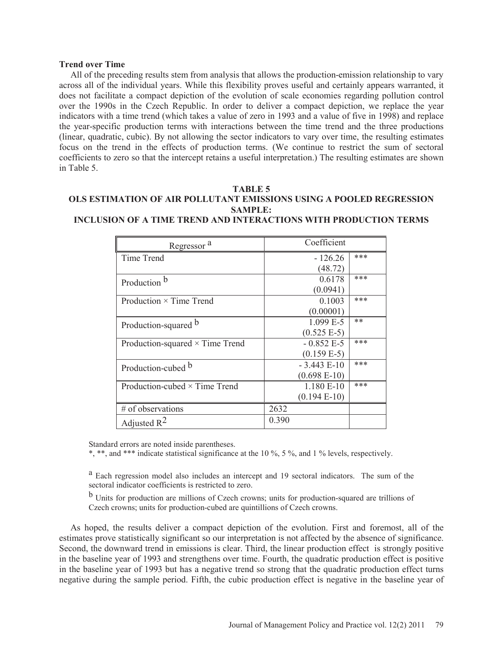#### **Trend over Time**

 All of the preceding results stem from analysis that allows the production-emission relationship to vary across all of the individual years. While this flexibility proves useful and certainly appears warranted, it does not facilitate a compact depiction of the evolution of scale economies regarding pollution control over the 1990s in the Czech Republic. In order to deliver a compact depiction, we replace the year indicators with a time trend (which takes a value of zero in 1993 and a value of five in 1998) and replace the year-specific production terms with interactions between the time trend and the three productions (linear, quadratic, cubic). By not allowing the sector indicators to vary over time, the resulting estimates focus on the trend in the effects of production terms. (We continue to restrict the sum of sectoral coefficients to zero so that the intercept retains a useful interpretation.) The resulting estimates are shown in Table 5.

#### **TABLE 5**

## **OLS ESTIMATION OF AIR POLLUTANT EMISSIONS USING A POOLED REGRESSION SAMPLE:**

| Regressor <sup>a</sup>                 |       | Coefficient    |     |
|----------------------------------------|-------|----------------|-----|
| Time Trend                             |       | $-126.26$      | *** |
|                                        |       | (48.72)        |     |
| Production b                           |       | 0.6178         | *** |
|                                        |       | (0.0941)       |     |
| Production $\times$ Time Trend         |       | 0.1003         | *** |
|                                        |       | (0.00001)      |     |
| Production-squared b                   |       | $1.099 E-5$    | **  |
|                                        |       | $(0.525 E-5)$  |     |
| Production-squared $\times$ Time Trend |       | $-0.852 E-5$   | *** |
|                                        |       | $(0.159 E-5)$  |     |
| Production-cubed b                     |       | $-3.443 E-10$  | *** |
|                                        |       | $(0.698 E-10)$ |     |
| Production-cubed $\times$ Time Trend   |       | 1.180 E-10     | *** |
|                                        |       | $(0.194 E-10)$ |     |
| # of observations                      | 2632  |                |     |
| Adjusted $R^2$                         | 0.390 |                |     |

**INCLUSION OF A TIME TREND AND INTERACTIONS WITH PRODUCTION TERMS**

Standard errors are noted inside parentheses.

\*, \*\*, and \*\*\* indicate statistical significance at the 10 %, 5 %, and 1 % levels, respectively.

<sup>a</sup> Each regression model also includes an intercept and 19 sectoral indicators. The sum of the sectoral indicator coefficients is restricted to zero.

 $<sup>b</sup>$  Units for production are millions of Czech crowns; units for production-squared are trillions of</sup> Czech crowns; units for production-cubed are quintillions of Czech crowns.

 As hoped, the results deliver a compact depiction of the evolution. First and foremost, all of the estimates prove statistically significant so our interpretation is not affected by the absence of significance. Second, the downward trend in emissions is clear. Third, the linear production effect is strongly positive in the baseline year of 1993 and strengthens over time. Fourth, the quadratic production effect is positive in the baseline year of 1993 but has a negative trend so strong that the quadratic production effect turns negative during the sample period. Fifth, the cubic production effect is negative in the baseline year of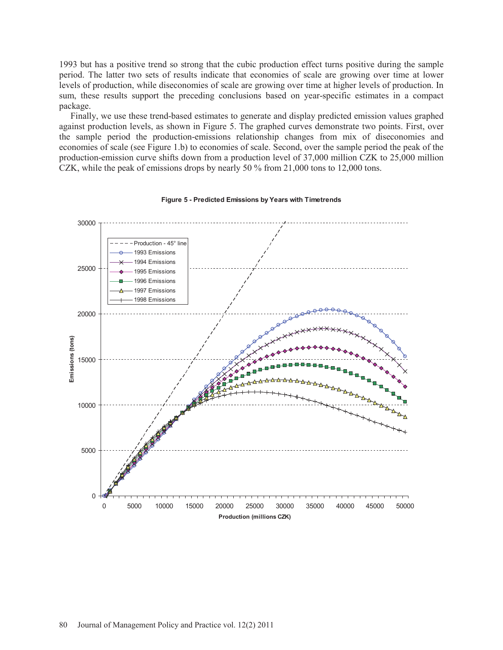1993 but has a positive trend so strong that the cubic production effect turns positive during the sample period. The latter two sets of results indicate that economies of scale are growing over time at lower levels of production, while diseconomies of scale are growing over time at higher levels of production. In sum, these results support the preceding conclusions based on year-specific estimates in a compact package.

 Finally, we use these trend-based estimates to generate and display predicted emission values graphed against production levels, as shown in Figure 5. The graphed curves demonstrate two points. First, over the sample period the production-emissions relationship changes from mix of diseconomies and economies of scale (see Figure 1.b) to economies of scale. Second, over the sample period the peak of the production-emission curve shifts down from a production level of 37,000 million CZK to 25,000 million CZK, while the peak of emissions drops by nearly 50 % from 21,000 tons to 12,000 tons.



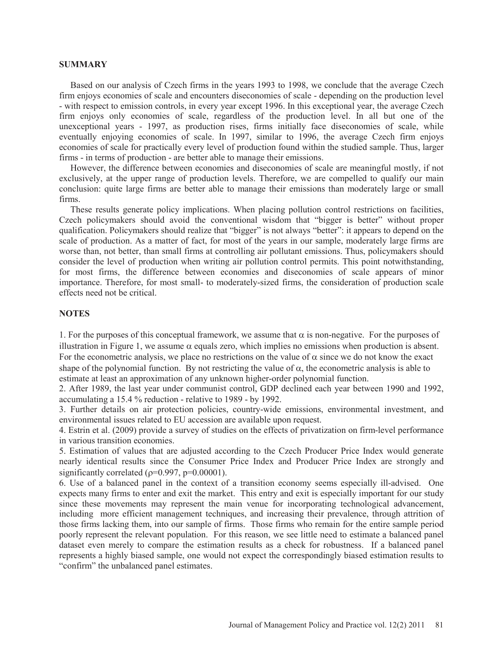#### **SUMMARY**

 Based on our analysis of Czech firms in the years 1993 to 1998, we conclude that the average Czech firm enjoys economies of scale and encounters diseconomies of scale - depending on the production level - with respect to emission controls, in every year except 1996. In this exceptional year, the average Czech firm enjoys only economies of scale, regardless of the production level. In all but one of the unexceptional years - 1997, as production rises, firms initially face diseconomies of scale, while eventually enjoying economies of scale. In 1997, similar to 1996, the average Czech firm enjoys economies of scale for practically every level of production found within the studied sample. Thus, larger firms - in terms of production - are better able to manage their emissions.

 However, the difference between economies and diseconomies of scale are meaningful mostly, if not exclusively, at the upper range of production levels. Therefore, we are compelled to qualify our main conclusion: quite large firms are better able to manage their emissions than moderately large or small firms.

 These results generate policy implications. When placing pollution control restrictions on facilities, Czech policymakers should avoid the conventional wisdom that "bigger is better" without proper qualification. Policymakers should realize that "bigger" is not always "better": it appears to depend on the scale of production. As a matter of fact, for most of the years in our sample, moderately large firms are worse than, not better, than small firms at controlling air pollutant emissions. Thus, policymakers should consider the level of production when writing air pollution control permits. This point notwithstanding, for most firms, the difference between economies and diseconomies of scale appears of minor importance. Therefore, for most small- to moderately-sized firms, the consideration of production scale effects need not be critical.

### **NOTES**

1. For the purposes of this conceptual framework, we assume that  $\alpha$  is non-negative. For the purposes of illustration in Figure 1, we assume  $\alpha$  equals zero, which implies no emissions when production is absent. For the econometric analysis, we place no restrictions on the value of  $\alpha$  since we do not know the exact shape of the polynomial function. By not restricting the value of  $\alpha$ , the econometric analysis is able to estimate at least an approximation of any unknown higher-order polynomial function.

2. After 1989, the last year under communist control, GDP declined each year between 1990 and 1992, accumulating a 15.4 % reduction - relative to 1989 - by 1992.

3. Further details on air protection policies, country-wide emissions, environmental investment, and environmental issues related to EU accession are available upon request.

4. Estrin et al. (2009) provide a survey of studies on the effects of privatization on firm-level performance in various transition economies.

5. Estimation of values that are adjusted according to the Czech Producer Price Index would generate nearly identical results since the Consumer Price Index and Producer Price Index are strongly and significantly correlated ( $p=0.997$ ,  $p=0.00001$ ).

6. Use of a balanced panel in the context of a transition economy seems especially ill-advised. One expects many firms to enter and exit the market. This entry and exit is especially important for our study since these movements may represent the main venue for incorporating technological advancement, including more efficient management techniques, and increasing their prevalence, through attrition of those firms lacking them, into our sample of firms. Those firms who remain for the entire sample period poorly represent the relevant population. For this reason, we see little need to estimate a balanced panel dataset even merely to compare the estimation results as a check for robustness. If a balanced panel represents a highly biased sample, one would not expect the correspondingly biased estimation results to "confirm" the unbalanced panel estimates.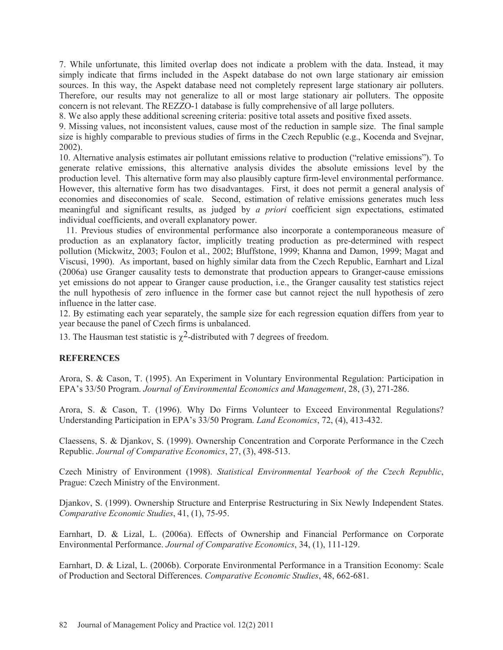7. While unfortunate, this limited overlap does not indicate a problem with the data. Instead, it may simply indicate that firms included in the Aspekt database do not own large stationary air emission sources. In this way, the Aspekt database need not completely represent large stationary air polluters. Therefore, our results may not generalize to all or most large stationary air polluters. The opposite concern is not relevant. The REZZO-1 database is fully comprehensive of all large polluters.

8. We also apply these additional screening criteria: positive total assets and positive fixed assets.

9. Missing values, not inconsistent values, cause most of the reduction in sample size. The final sample size is highly comparable to previous studies of firms in the Czech Republic (e.g., Kocenda and Svejnar, 2002).

10. Alternative analysis estimates air pollutant emissions relative to production ("relative emissions"). To generate relative emissions, this alternative analysis divides the absolute emissions level by the production level. This alternative form may also plausibly capture firm-level environmental performance. However, this alternative form has two disadvantages. First, it does not permit a general analysis of economies and diseconomies of scale. Second, estimation of relative emissions generates much less meaningful and significant results, as judged by *a priori* coefficient sign expectations, estimated individual coefficients, and overall explanatory power.

 11. Previous studies of environmental performance also incorporate a contemporaneous measure of production as an explanatory factor, implicitly treating production as pre-determined with respect pollution (Mickwitz, 2003; Foulon et al., 2002; Bluffstone, 1999; Khanna and Damon, 1999; Magat and Viscusi, 1990). As important, based on highly similar data from the Czech Republic, Earnhart and Lizal (2006a) use Granger causality tests to demonstrate that production appears to Granger-cause emissions yet emissions do not appear to Granger cause production, i.e., the Granger causality test statistics reject the null hypothesis of zero influence in the former case but cannot reject the null hypothesis of zero influence in the latter case.

12. By estimating each year separately, the sample size for each regression equation differs from year to year because the panel of Czech firms is unbalanced.

13. The Hausman test statistic is  $\gamma^2$ -distributed with 7 degrees of freedom.

### **REFERENCES**

Arora, S. & Cason, T. (1995). An Experiment in Voluntary Environmental Regulation: Participation in EPA's 33/50 Program. *Journal of Environmental Economics and Management*, 28, (3), 271-286.

Arora, S. & Cason, T. (1996). Why Do Firms Volunteer to Exceed Environmental Regulations? Understanding Participation in EPA's 33/50 Program. *Land Economics*, 72, (4), 413-432.

Claessens, S. & Djankov, S. (1999). Ownership Concentration and Corporate Performance in the Czech Republic. *Journal of Comparative Economics*, 27, (3), 498-513.

Czech Ministry of Environment (1998). *Statistical Environmental Yearbook of the Czech Republic*, Prague: Czech Ministry of the Environment.

Djankov, S. (1999). Ownership Structure and Enterprise Restructuring in Six Newly Independent States. *Comparative Economic Studies*, 41, (1), 75-95.

Earnhart, D. & Lizal, L. (2006a). Effects of Ownership and Financial Performance on Corporate Environmental Performance. *Journal of Comparative Economics*, 34, (1), 111-129.

Earnhart, D. & Lizal, L. (2006b). Corporate Environmental Performance in a Transition Economy: Scale of Production and Sectoral Differences. *Comparative Economic Studies*, 48, 662-681.